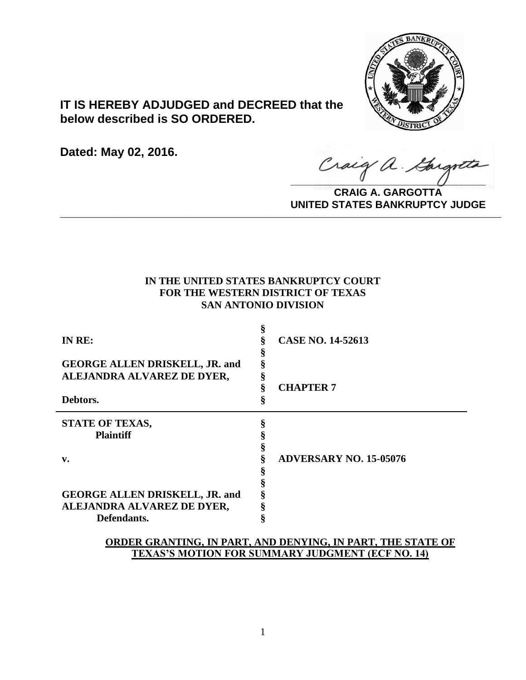

**IT IS HEREBY ADJUDGED and DECREED that the below described is SO ORDERED.**

**Dated: May 02, 2016.**

Craig a Gargott

**CRAIG A. GARGOTTA UNITED STATES BANKRUPTCY JUDGE PRITED DIATED BARRACT TOT 00DCE** 

# **IN THE UNITED STATES BANKRUPTCY COURT FOR THE WESTERN DISTRICT OF TEXAS SAN ANTONIO DIVISION**

| IN RE:                                | <b>CASE NO. 14-52613</b>      |
|---------------------------------------|-------------------------------|
| <b>GEORGE ALLEN DRISKELL, JR. and</b> |                               |
| ALEJANDRA ALVAREZ DE DYER,            |                               |
|                                       | <b>CHAPTER 7</b>              |
| Debtors.                              |                               |
| <b>STATE OF TEXAS,</b>                |                               |
| <b>Plaintiff</b>                      |                               |
|                                       |                               |
| $\mathbf{v}$ .                        | <b>ADVERSARY NO. 15-05076</b> |
|                                       |                               |
|                                       |                               |
| <b>GEORGE ALLEN DRISKELL, JR. and</b> |                               |
| ALEJANDRA ALVAREZ DE DYER,            |                               |
| Defendants.                           |                               |

# **ORDER GRANTING, IN PART, AND DENYING, IN PART, THE STATE OF TEXAS'S MOTION FOR SUMMARY JUDGMENT (ECF NO. 14)**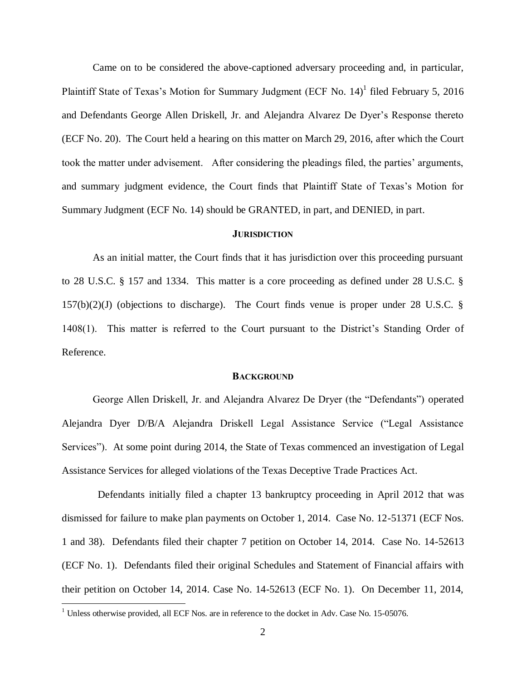Came on to be considered the above-captioned adversary proceeding and, in particular, Plaintiff State of Texas's Motion for Summary Judgment (ECF No. 14)<sup>1</sup> filed February 5, 2016 and Defendants George Allen Driskell, Jr. and Alejandra Alvarez De Dyer's Response thereto (ECF No. 20). The Court held a hearing on this matter on March 29, 2016, after which the Court took the matter under advisement. After considering the pleadings filed, the parties' arguments, and summary judgment evidence, the Court finds that Plaintiff State of Texas's Motion for Summary Judgment (ECF No. 14) should be GRANTED, in part, and DENIED, in part.

### **JURISDICTION**

As an initial matter, the Court finds that it has jurisdiction over this proceeding pursuant to 28 U.S.C. § 157 and 1334. This matter is a core proceeding as defined under 28 U.S.C. § 157(b)(2)(J) (objections to discharge). The Court finds venue is proper under 28 U.S.C. § 1408(1). This matter is referred to the Court pursuant to the District's Standing Order of Reference.

#### **BACKGROUND**

George Allen Driskell, Jr. and Alejandra Alvarez De Dryer (the "Defendants") operated Alejandra Dyer D/B/A Alejandra Driskell Legal Assistance Service ("Legal Assistance Services"). At some point during 2014, the State of Texas commenced an investigation of Legal Assistance Services for alleged violations of the Texas Deceptive Trade Practices Act.

Defendants initially filed a chapter 13 bankruptcy proceeding in April 2012 that was dismissed for failure to make plan payments on October 1, 2014. Case No. 12-51371 (ECF Nos. 1 and 38). Defendants filed their chapter 7 petition on October 14, 2014. Case No. 14-52613 (ECF No. 1). Defendants filed their original Schedules and Statement of Financial affairs with their petition on October 14, 2014. Case No. 14-52613 (ECF No. 1). On December 11, 2014,

 $\overline{\phantom{a}}$ 

 $1$  Unless otherwise provided, all ECF Nos. are in reference to the docket in Adv. Case No. 15-05076.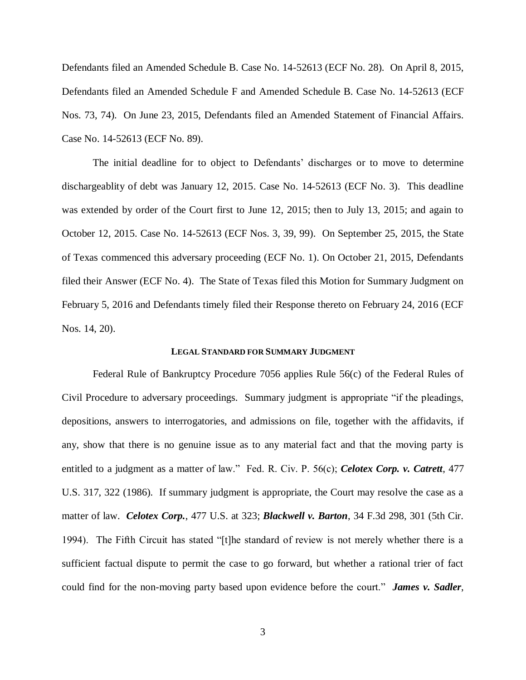Defendants filed an Amended Schedule B. Case No. 14-52613 (ECF No. 28). On April 8, 2015, Defendants filed an Amended Schedule F and Amended Schedule B. Case No. 14-52613 (ECF Nos. 73, 74). On June 23, 2015, Defendants filed an Amended Statement of Financial Affairs. Case No. 14-52613 (ECF No. 89).

The initial deadline for to object to Defendants' discharges or to move to determine dischargeablity of debt was January 12, 2015. Case No. 14-52613 (ECF No. 3). This deadline was extended by order of the Court first to June 12, 2015; then to July 13, 2015; and again to October 12, 2015. Case No. 14-52613 (ECF Nos. 3, 39, 99). On September 25, 2015, the State of Texas commenced this adversary proceeding (ECF No. 1). On October 21, 2015, Defendants filed their Answer (ECF No. 4). The State of Texas filed this Motion for Summary Judgment on February 5, 2016 and Defendants timely filed their Response thereto on February 24, 2016 (ECF Nos. 14, 20).

### **LEGAL STANDARD FOR SUMMARY JUDGMENT**

Federal Rule of Bankruptcy Procedure 7056 applies Rule 56(c) of the Federal Rules of Civil Procedure to adversary proceedings. Summary judgment is appropriate "if the pleadings, depositions, answers to interrogatories, and admissions on file, together with the affidavits, if any, show that there is no genuine issue as to any material fact and that the moving party is entitled to a judgment as a matter of law." Fed. R. Civ. P. 56(c); *Celotex Corp. v. Catrett*, 477 U.S. 317, 322 (1986). If summary judgment is appropriate, the Court may resolve the case as a matter of law. *Celotex Corp.*, 477 U.S. at 323; *Blackwell v. Barton*, 34 F.3d 298, 301 (5th Cir. 1994). The Fifth Circuit has stated "[t]he standard of review is not merely whether there is a sufficient factual dispute to permit the case to go forward, but whether a rational trier of fact could find for the non-moving party based upon evidence before the court." *James v. Sadler*,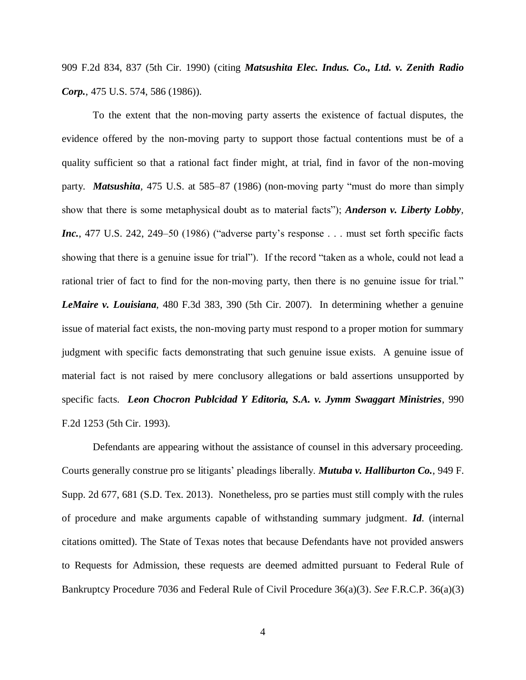909 F.2d 834, 837 (5th Cir. 1990) (citing *Matsushita Elec. Indus. Co., Ltd. v. Zenith Radio Corp.*, 475 U.S. 574, 586 (1986)).

To the extent that the non-moving party asserts the existence of factual disputes, the evidence offered by the non-moving party to support those factual contentions must be of a quality sufficient so that a rational fact finder might, at trial, find in favor of the non-moving party. *Matsushita,* 475 U.S. at 585–87 (1986) (non-moving party "must do more than simply show that there is some metaphysical doubt as to material facts"); *Anderson v. Liberty Lobby, Inc.*, 477 U.S. 242, 249–50 (1986) ("adverse party's response . . . must set forth specific facts showing that there is a genuine issue for trial"). If the record "taken as a whole, could not lead a rational trier of fact to find for the non-moving party, then there is no genuine issue for trial." *LeMaire v. Louisiana*, 480 F.3d 383, 390 (5th Cir. 2007). In determining whether a genuine issue of material fact exists, the non-moving party must respond to a proper motion for summary judgment with specific facts demonstrating that such genuine issue exists. A genuine issue of material fact is not raised by mere conclusory allegations or bald assertions unsupported by specific facts. *Leon Chocron Publcidad Y Editoria, S.A. v. Jymm Swaggart Ministries*, 990 F.2d 1253 (5th Cir. 1993).

Defendants are appearing without the assistance of counsel in this adversary proceeding. Courts generally construe pro se litigants' pleadings liberally. *Mutuba v. Halliburton Co.*, 949 F. Supp. 2d 677, 681 (S.D. Tex. 2013). Nonetheless, pro se parties must still comply with the rules of procedure and make arguments capable of withstanding summary judgment. *Id*. (internal citations omitted). The State of Texas notes that because Defendants have not provided answers to Requests for Admission, these requests are deemed admitted pursuant to Federal Rule of Bankruptcy Procedure 7036 and Federal Rule of Civil Procedure 36(a)(3). *See* F.R.C.P. 36(a)(3)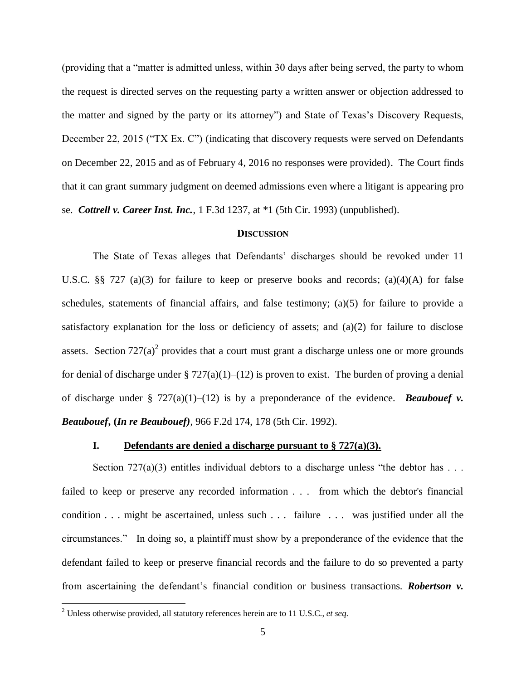(providing that a "matter is admitted unless, within 30 days after being served, the party to whom the request is directed serves on the requesting party a written answer or objection addressed to the matter and signed by the party or its attorney") and State of Texas's Discovery Requests, December 22, 2015 ("TX Ex. C") (indicating that discovery requests were served on Defendants on December 22, 2015 and as of February 4, 2016 no responses were provided). The Court finds that it can grant summary judgment on deemed admissions even where a litigant is appearing pro se. *Cottrell v. Career Inst. Inc.*, 1 F.3d 1237, at \*1 (5th Cir. 1993) (unpublished).

### **DISCUSSION**

The State of Texas alleges that Defendants' discharges should be revoked under 11 U.S.C. §§ 727 (a)(3) for failure to keep or preserve books and records; (a)(4)(A) for false schedules, statements of financial affairs, and false testimony; (a)(5) for failure to provide a satisfactory explanation for the loss or deficiency of assets; and (a)(2) for failure to disclose assets. Section  $727(a)^2$  provides that a court must grant a discharge unless one or more grounds for denial of discharge under §  $727(a)(1)–(12)$  is proven to exist. The burden of proving a denial of discharge under  $\S$  727(a)(1)–(12) is by a preponderance of the evidence. **Beaubouef v.** *Beaubouef***, (***In re Beaubouef)*, 966 F.2d 174, 178 (5th Cir. 1992).

# **I. Defendants are denied a discharge pursuant to § 727(a)(3).**

Section  $727(a)(3)$  entitles individual debtors to a discharge unless "the debtor has ... failed to keep or preserve any recorded information . . . from which the debtor's financial condition . . . might be ascertained, unless such . . . failure . . . was justified under all the circumstances." In doing so, a plaintiff must show by a preponderance of the evidence that the defendant failed to keep or preserve financial records and the failure to do so prevented a party from ascertaining the defendant's financial condition or business transactions. *Robertson v.* 

 $\overline{\phantom{a}}$ 

<sup>2</sup> Unless otherwise provided, all statutory references herein are to 11 U.S.C., *et seq*.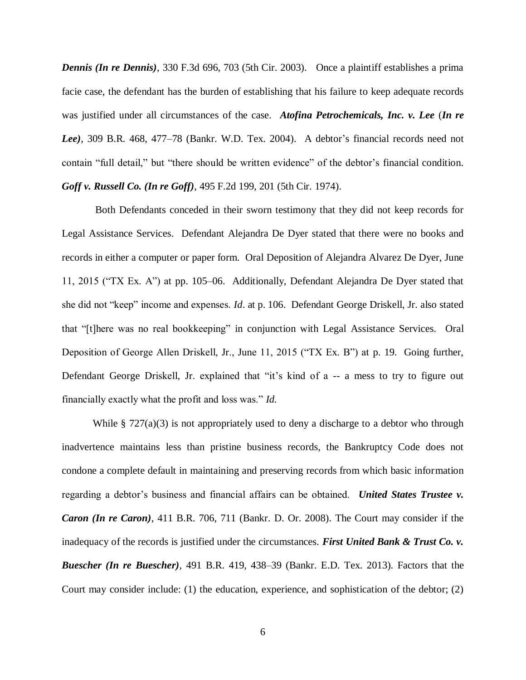*Dennis (In re Dennis)*, 330 F.3d 696, 703 (5th Cir. 2003). Once a plaintiff establishes a prima facie case, the defendant has the burden of establishing that his failure to keep adequate records was justified under all circumstances of the case. *Atofina Petrochemicals, Inc. v. Lee* (*In re Lee)*, 309 B.R. 468, 477–78 (Bankr. W.D. Tex. 2004). A debtor's financial records need not contain "full detail," but "there should be written evidence" of the debtor's financial condition. *Goff v. Russell Co. (In re Goff)*, 495 F.2d 199, 201 (5th Cir. 1974).

Both Defendants conceded in their sworn testimony that they did not keep records for Legal Assistance Services. Defendant Alejandra De Dyer stated that there were no books and records in either a computer or paper form. Oral Deposition of Alejandra Alvarez De Dyer, June 11, 2015 ("TX Ex. A") at pp. 105–06. Additionally, Defendant Alejandra De Dyer stated that she did not "keep" income and expenses. *Id*. at p. 106. Defendant George Driskell, Jr. also stated that "[t]here was no real bookkeeping" in conjunction with Legal Assistance Services. Oral Deposition of George Allen Driskell, Jr., June 11, 2015 ("TX Ex. B") at p. 19. Going further, Defendant George Driskell, Jr. explained that "it's kind of a -- a mess to try to figure out financially exactly what the profit and loss was." *Id.*

While  $\S 727(a)(3)$  is not appropriately used to deny a discharge to a debtor who through inadvertence maintains less than pristine business records, the Bankruptcy Code does not condone a complete default in maintaining and preserving records from which basic information regarding a debtor's business and financial affairs can be obtained. *United States Trustee v. Caron (In re Caron)*, 411 B.R. 706, 711 (Bankr. D. Or. 2008). The Court may consider if the inadequacy of the records is justified under the circumstances. *First United Bank & Trust Co. v. Buescher (In re Buescher)*, 491 B.R. 419, 438–39 (Bankr. E.D. Tex. 2013). Factors that the Court may consider include: (1) the education, experience, and sophistication of the debtor; (2)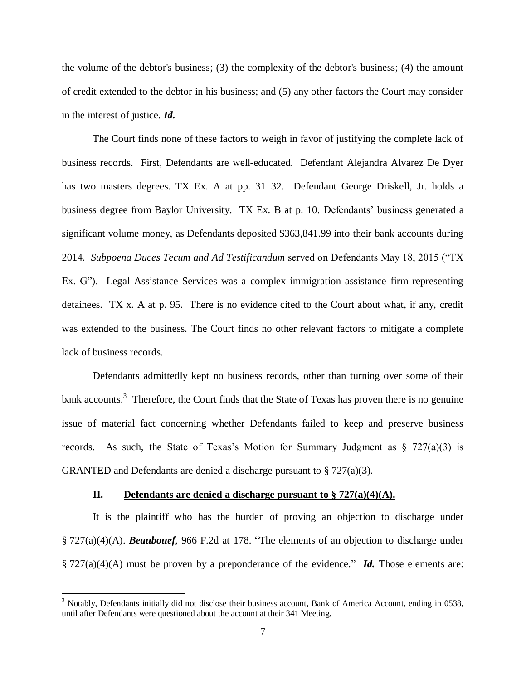the volume of the debtor's business; (3) the complexity of the debtor's business; (4) the amount of credit extended to the debtor in his business; and (5) any other factors the Court may consider in the interest of justice. *Id.*

The Court finds none of these factors to weigh in favor of justifying the complete lack of business records. First, Defendants are well-educated. Defendant Alejandra Alvarez De Dyer has two masters degrees. TX Ex. A at pp. 31–32. Defendant George Driskell, Jr. holds a business degree from Baylor University. TX Ex. B at p. 10. Defendants' business generated a significant volume money, as Defendants deposited \$363,841.99 into their bank accounts during 2014. *Subpoena Duces Tecum and Ad Testificandum* served on Defendants May 18, 2015 ("TX Ex. G"). Legal Assistance Services was a complex immigration assistance firm representing detainees. TX x. A at p. 95. There is no evidence cited to the Court about what, if any, credit was extended to the business. The Court finds no other relevant factors to mitigate a complete lack of business records.

Defendants admittedly kept no business records, other than turning over some of their bank accounts.<sup>3</sup> Therefore, the Court finds that the State of Texas has proven there is no genuine issue of material fact concerning whether Defendants failed to keep and preserve business records. As such, the State of Texas's Motion for Summary Judgment as  $\S$  727(a)(3) is GRANTED and Defendants are denied a discharge pursuant to § 727(a)(3).

# **II. Defendants are denied a discharge pursuant to § 727(a)(4)(A).**

 $\overline{a}$ 

It is the plaintiff who has the burden of proving an objection to discharge under § 727(a)(4)(A). *Beaubouef*, 966 F.2d at 178. "The elements of an objection to discharge under § 727(a)(4)(A) must be proven by a preponderance of the evidence." *Id.* Those elements are:

<sup>&</sup>lt;sup>3</sup> Notably, Defendants initially did not disclose their business account, Bank of America Account, ending in 0538, until after Defendants were questioned about the account at their 341 Meeting.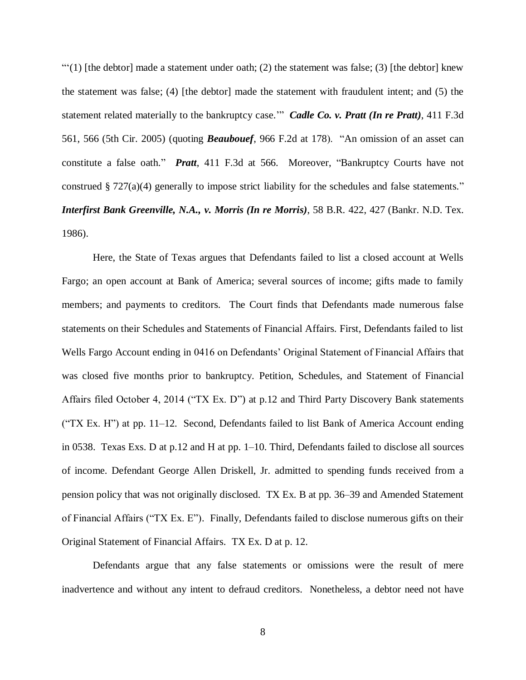$\lq(1)$  [the debtor] made a statement under oath; (2) the statement was false; (3) [the debtor] knew the statement was false; (4) [the debtor] made the statement with fraudulent intent; and (5) the statement related materially to the bankruptcy case.'" *Cadle Co. v. Pratt (In re Pratt)*, 411 F.3d 561, 566 (5th Cir. 2005) (quoting *Beaubouef*, 966 F.2d at 178). "An omission of an asset can constitute a false oath." *Pratt*, 411 F.3d at 566. Moreover, "Bankruptcy Courts have not construed § 727(a)(4) generally to impose strict liability for the schedules and false statements." *Interfirst Bank Greenville, N.A., v. Morris (In re Morris)*, 58 B.R. 422, 427 (Bankr. N.D. Tex. 1986).

Here, the State of Texas argues that Defendants failed to list a closed account at Wells Fargo; an open account at Bank of America; several sources of income; gifts made to family members; and payments to creditors. The Court finds that Defendants made numerous false statements on their Schedules and Statements of Financial Affairs. First, Defendants failed to list Wells Fargo Account ending in 0416 on Defendants' Original Statement of Financial Affairs that was closed five months prior to bankruptcy. Petition, Schedules, and Statement of Financial Affairs filed October 4, 2014 ("TX Ex. D") at p.12 and Third Party Discovery Bank statements ("TX Ex. H") at pp. 11–12. Second, Defendants failed to list Bank of America Account ending in 0538. Texas Exs. D at p.12 and H at pp. 1–10. Third, Defendants failed to disclose all sources of income. Defendant George Allen Driskell, Jr. admitted to spending funds received from a pension policy that was not originally disclosed. TX Ex. B at pp. 36–39 and Amended Statement of Financial Affairs ("TX Ex. E"). Finally, Defendants failed to disclose numerous gifts on their Original Statement of Financial Affairs. TX Ex. D at p. 12.

Defendants argue that any false statements or omissions were the result of mere inadvertence and without any intent to defraud creditors. Nonetheless, a debtor need not have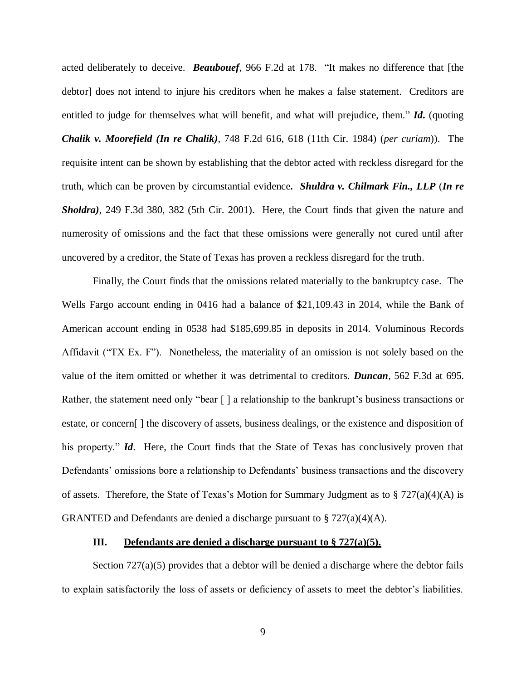acted deliberately to deceive. *Beaubouef*, 966 F.2d at 178. "It makes no difference that [the debtor] does not intend to injure his creditors when he makes a false statement. Creditors are entitled to judge for themselves what will benefit, and what will prejudice, them." *Id***.** (quoting *Chalik v. Moorefield (In re Chalik)*, 748 F.2d 616, 618 (11th Cir. 1984) (*per curiam*)). The requisite intent can be shown by establishing that the debtor acted with reckless disregard for the truth, which can be proven by circumstantial evidence*. Shuldra v. Chilmark Fin., LLP* (*In re Sholdra)*, 249 F.3d 380, 382 (5th Cir. 2001). Here, the Court finds that given the nature and numerosity of omissions and the fact that these omissions were generally not cured until after uncovered by a creditor, the State of Texas has proven a reckless disregard for the truth.

Finally, the Court finds that the omissions related materially to the bankruptcy case. The Wells Fargo account ending in 0416 had a balance of \$21,109.43 in 2014, while the Bank of American account ending in 0538 had \$185,699.85 in deposits in 2014. Voluminous Records Affidavit ("TX Ex. F"). Nonetheless, the materiality of an omission is not solely based on the value of the item omitted or whether it was detrimental to creditors. *Duncan*, 562 F.3d at 695. Rather, the statement need only "bear  $\lceil \cdot \rceil$  a relationship to the bankrupt's business transactions or estate, or concern[ ] the discovery of assets, business dealings, or the existence and disposition of his property." *Id*. Here, the Court finds that the State of Texas has conclusively proven that Defendants' omissions bore a relationship to Defendants' business transactions and the discovery of assets. Therefore, the State of Texas's Motion for Summary Judgment as to  $\S 727(a)(4)(A)$  is GRANTED and Defendants are denied a discharge pursuant to  $\S 727(a)(4)(A)$ .

### **III. Defendants are denied a discharge pursuant to § 727(a)(5).**

Section  $727(a)(5)$  provides that a debtor will be denied a discharge where the debtor fails to explain satisfactorily the loss of assets or deficiency of assets to meet the debtor's liabilities.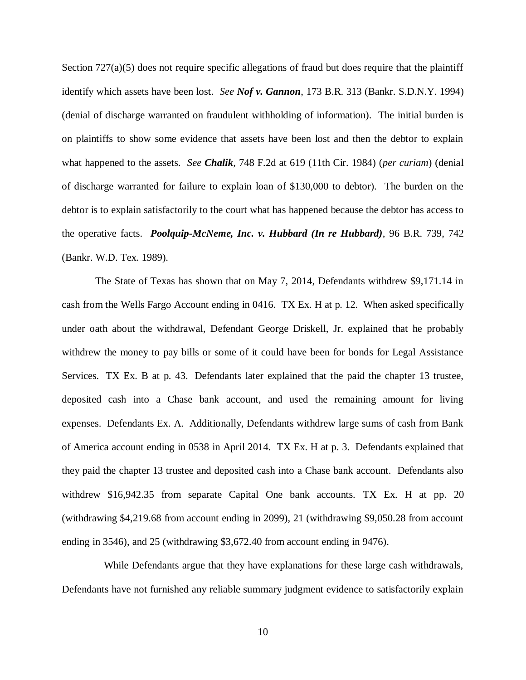Section 727(a)(5) does not require specific allegations of fraud but does require that the plaintiff identify which assets have been lost. *See Nof v. Gannon*, 173 B.R. 313 (Bankr. S.D.N.Y. 1994) (denial of discharge warranted on fraudulent withholding of information). The initial burden is on plaintiffs to show some evidence that assets have been lost and then the debtor to explain what happened to the assets. *See Chalik*, 748 F.2d at 619 (11th Cir. 1984) (*per curiam*) (denial of discharge warranted for failure to explain loan of \$130,000 to debtor). The burden on the debtor is to explain satisfactorily to the court what has happened because the debtor has access to the operative facts. *Poolquip-McNeme, Inc. v. Hubbard (In re Hubbard)*, 96 B.R. 739, 742 (Bankr. W.D. Tex. 1989).

The State of Texas has shown that on May 7, 2014, Defendants withdrew \$9,171.14 in cash from the Wells Fargo Account ending in 0416. TX Ex. H at p. 12. When asked specifically under oath about the withdrawal, Defendant George Driskell, Jr. explained that he probably withdrew the money to pay bills or some of it could have been for bonds for Legal Assistance Services. TX Ex. B at p. 43. Defendants later explained that the paid the chapter 13 trustee, deposited cash into a Chase bank account, and used the remaining amount for living expenses. Defendants Ex. A. Additionally, Defendants withdrew large sums of cash from Bank of America account ending in 0538 in April 2014. TX Ex. H at p. 3. Defendants explained that they paid the chapter 13 trustee and deposited cash into a Chase bank account. Defendants also withdrew \$16,942.35 from separate Capital One bank accounts. TX Ex. H at pp. 20 (withdrawing \$4,219.68 from account ending in 2099), 21 (withdrawing \$9,050.28 from account ending in 3546), and 25 (withdrawing \$3,672.40 from account ending in 9476).

 While Defendants argue that they have explanations for these large cash withdrawals, Defendants have not furnished any reliable summary judgment evidence to satisfactorily explain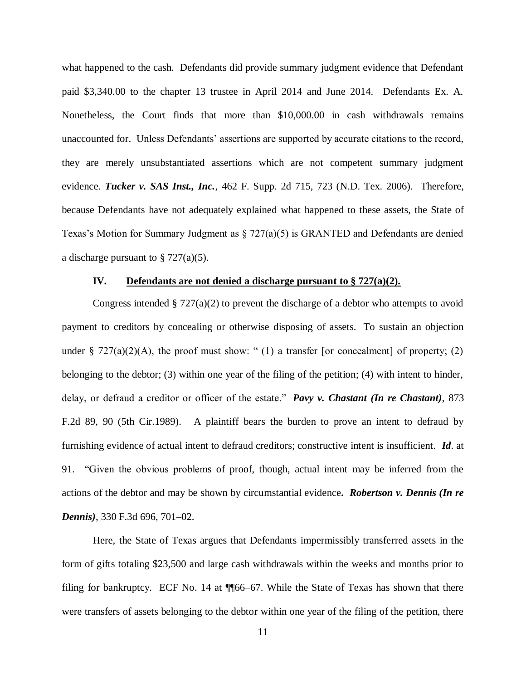what happened to the cash. Defendants did provide summary judgment evidence that Defendant paid \$3,340.00 to the chapter 13 trustee in April 2014 and June 2014. Defendants Ex. A. Nonetheless, the Court finds that more than \$10,000.00 in cash withdrawals remains unaccounted for. Unless Defendants' assertions are supported by accurate citations to the record, they are merely unsubstantiated assertions which are not competent summary judgment evidence. *Tucker v. SAS Inst., Inc.*, 462 F. Supp. 2d 715, 723 (N.D. Tex. 2006). Therefore, because Defendants have not adequately explained what happened to these assets, the State of Texas's Motion for Summary Judgment as § 727(a)(5) is GRANTED and Defendants are denied a discharge pursuant to  $\S 727(a)(5)$ .

### **IV. Defendants are not denied a discharge pursuant to § 727(a)(2).**

Congress intended  $\S 727(a)(2)$  to prevent the discharge of a debtor who attempts to avoid payment to creditors by concealing or otherwise disposing of assets. To sustain an objection under § 727(a)(2)(A), the proof must show: "(1) a transfer [or concealment] of property; (2) belonging to the debtor; (3) within one year of the filing of the petition; (4) with intent to hinder, delay, or defraud a creditor or officer of the estate." *Pavy v. Chastant (In re Chastant)*, 873 F.2d 89, 90 (5th Cir.1989). A plaintiff bears the burden to prove an intent to defraud by furnishing evidence of actual intent to defraud creditors; constructive intent is insufficient. *Id*. at 91. "Given the obvious problems of proof, though, actual intent may be inferred from the actions of the debtor and may be shown by circumstantial evidence*. Robertson v. Dennis (In re Dennis)*, 330 F.3d 696, 701–02.

Here, the State of Texas argues that Defendants impermissibly transferred assets in the form of gifts totaling \$23,500 and large cash withdrawals within the weeks and months prior to filing for bankruptcy. ECF No. 14 at  $\P$  66–67. While the State of Texas has shown that there were transfers of assets belonging to the debtor within one year of the filing of the petition, there